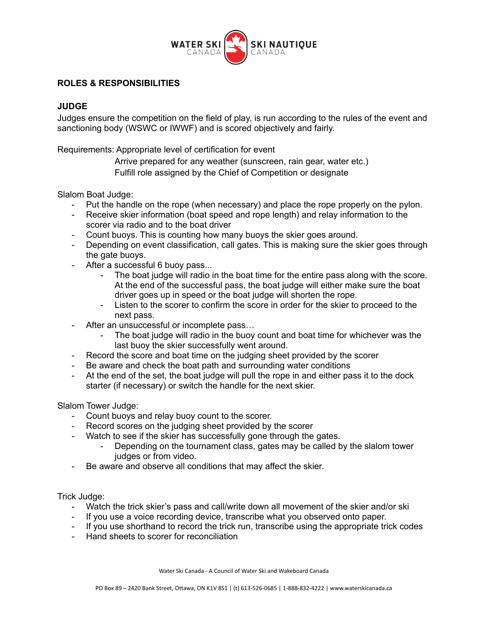

## **ROLES & RESPONSIBILITIES**

## **JUDGE**

Judges ensure the competition on the field of play, is run according to the rules of the event and sanctioning body (WSWC or IWWF) and is scored objectively and fairly.

Requirements: Appropriate level of certification for event

Arrive prepared for any weather (sunscreen, rain gear, water etc.) Fulfill role assigned by the Chief of Competition or designate

Slalom Boat Judge:

- Put the handle on the rope (when necessary) and place the rope properly on the pylon.
- Receive skier information (boat speed and rope length) and relay information to the scorer via radio and to the boat driver
- Count buoys. This is counting how many buoys the skier goes around.
- Depending on event classification, call gates. This is making sure the skier goes through the gate buoys.
- After a successful 6 buoy pass...
	- The boat judge will radio in the boat time for the entire pass along with the score. At the end of the successful pass, the boat judge will either make sure the boat driver goes up in speed or the boat judge will shorten the rope.
	- Listen to the scorer to confirm the score in order for the skier to proceed to the next pass.
- After an unsuccessful or incomplete pass...
	- The boat judge will radio in the buoy count and boat time for whichever was the last buoy the skier successfully went around.
- Record the score and boat time on the judging sheet provided by the scorer
- Be aware and check the boat path and surrounding water conditions
- At the end of the set, the boat judge will pull the rope in and either pass it to the dock starter (if necessary) or switch the handle for the next skier.

Slalom Tower Judge:

- Count buoys and relay buoy count to the scorer.
- Record scores on the judging sheet provided by the scorer
- Watch to see if the skier has successfully gone through the gates.
	- Depending on the tournament class, gates may be called by the slalom tower judges or from video.
- Be aware and observe all conditions that may affect the skier.

Trick Judge:

- Watch the trick skier's pass and call/write down all movement of the skier and/or ski
- If you use a voice recording device, transcribe what you observed onto paper.
- If you use shorthand to record the trick run, transcribe using the appropriate trick codes
- Hand sheets to scorer for reconciliation

Water Ski Canada - A Council of Water Ski and Wakeboard Canada